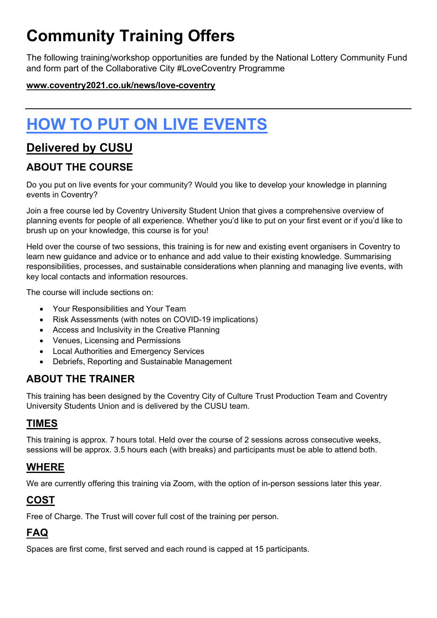# **Community Training Offers**

The following training/workshop opportunities are funded by the National Lottery Community Fund and form part of the Collaborative City #LoveCoventry Programme

#### **[www.coventry2021.co.uk/news/love-coventry](http://www.coventry2021.co.uk/news/love-coventry)**

# **HOW TO PUT ON LIVE EVENTS**

# **Delivered by CUSU**

### **ABOUT THE COURSE**

Do you put on live events for your community? Would you like to develop your knowledge in planning events in Coventry?

Join a free course led by Coventry University Student Union that gives a comprehensive overview of planning events for people of all experience. Whether you'd like to put on your first event or if you'd like to brush up on your knowledge, this course is for you!

Held over the course of two sessions, this training is for new and existing event organisers in Coventry to learn new guidance and advice or to enhance and add value to their existing knowledge. Summarising responsibilities, processes, and sustainable considerations when planning and managing live events, with key local contacts and information resources.

The course will include sections on:

- Your Responsibilities and Your Team
- Risk Assessments (with notes on COVID-19 implications)
- Access and Inclusivity in the Creative Planning
- Venues, Licensing and Permissions
- Local Authorities and Emergency Services
- Debriefs, Reporting and Sustainable Management

### **ABOUT THE TRAINER**

This training has been designed by the Coventry City of Culture Trust Production Team and Coventry University Students Union and is delivered by the CUSU team.

#### **TIMES**

This training is approx. 7 hours total. Held over the course of 2 sessions across consecutive weeks, sessions will be approx. 3.5 hours each (with breaks) and participants must be able to attend both.

#### **WHERE**

We are currently offering this training via Zoom, with the option of in-person sessions later this year.

#### **COST**

Free of Charge. The Trust will cover full cost of the training per person.

# **FAQ**

Spaces are first come, first served and each round is capped at 15 participants.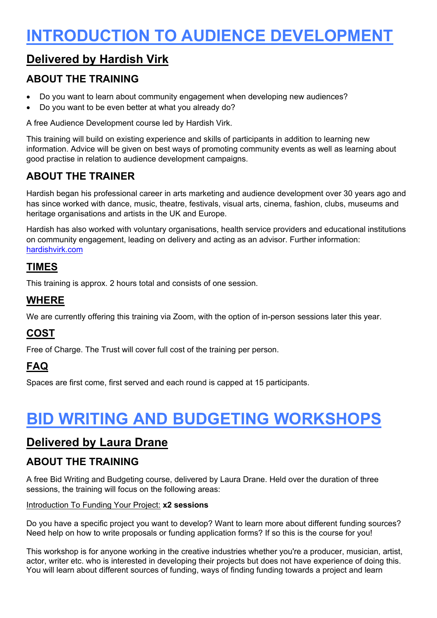# **INTRODUCTION TO AUDIENCE DEVELOPMENT**

# **Delivered by Hardish Virk**

#### **ABOUT THE TRAINING**

- Do you want to learn about community engagement when developing new audiences?
- Do you want to be even better at what you already do?

A free Audience Development course led by Hardish Virk.

This training will build on existing experience and skills of participants in addition to learning new information. Advice will be given on best ways of promoting community events as well as learning about good practise in relation to audience development campaigns.

## **ABOUT THE TRAINER**

Hardish began his professional career in arts marketing and audience development over 30 years ago and has since worked with dance, music, theatre, festivals, visual arts, cinema, fashion, clubs, museums and heritage organisations and artists in the UK and Europe.

Hardish has also worked with voluntary organisations, health service providers and educational institutions on community engagement, leading on delivery and acting as an advisor. Further information: [hardishvirk.com](https://www.hardishvirk.com/)

#### **TIMES**

This training is approx. 2 hours total and consists of one session.

#### **WHERE**

We are currently offering this training via Zoom, with the option of in-person sessions later this year.

#### **COST**

Free of Charge. The Trust will cover full cost of the training per person.

## **FAQ**

Spaces are first come, first served and each round is capped at 15 participants.

# **BID WRITING AND BUDGETING WORKSHOPS**

### **Delivered by Laura Drane**

#### **ABOUT THE TRAINING**

A free Bid Writing and Budgeting course, delivered by Laura Drane. Held over the duration of three sessions, the training will focus on the following areas:

#### Introduction To Funding Your Project: **x2 sessions**

Do you have a specific project you want to develop? Want to learn more about different funding sources? Need help on how to write proposals or funding application forms? If so this is the course for you!

This workshop is for anyone working in the creative industries whether you're a producer, musician, artist, actor, writer etc. who is interested in developing their projects but does not have experience of doing this. You will learn about different sources of funding, ways of finding funding towards a project and learn